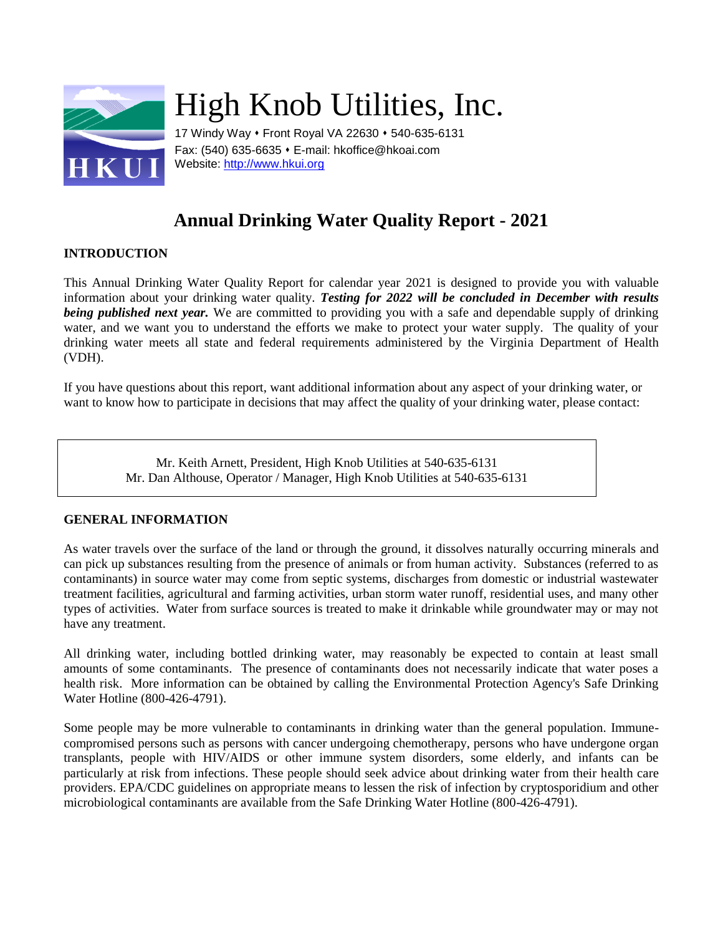

# High Knob Utilities, Inc.

17 Windy Way • Front Royal VA 22630 • 540-635-6131 Fax: (540) 635-6635 E-mail: hkoffice@hkoai.com Website: [http://www.hkui.org](http://www.hkui.org/)

# **Annual Drinking Water Quality Report - 2021**

# **INTRODUCTION**

This Annual Drinking Water Quality Report for calendar year 2021 is designed to provide you with valuable information about your drinking water quality. *Testing for 2022 will be concluded in December with results being published next year.* We are committed to providing you with a safe and dependable supply of drinking water, and we want you to understand the efforts we make to protect your water supply. The quality of your drinking water meets all state and federal requirements administered by the Virginia Department of Health (VDH).

If you have questions about this report, want additional information about any aspect of your drinking water, or want to know how to participate in decisions that may affect the quality of your drinking water, please contact:

> Mr. Keith Arnett, President, High Knob Utilities at 540-635-6131 Mr. Dan Althouse, Operator / Manager, High Knob Utilities at 540-635-6131

# **GENERAL INFORMATION**

As water travels over the surface of the land or through the ground, it dissolves naturally occurring minerals and can pick up substances resulting from the presence of animals or from human activity. Substances (referred to as contaminants) in source water may come from septic systems, discharges from domestic or industrial wastewater treatment facilities, agricultural and farming activities, urban storm water runoff, residential uses, and many other types of activities. Water from surface sources is treated to make it drinkable while groundwater may or may not have any treatment.

All drinking water, including bottled drinking water, may reasonably be expected to contain at least small amounts of some contaminants. The presence of contaminants does not necessarily indicate that water poses a health risk. More information can be obtained by calling the Environmental Protection Agency's Safe Drinking Water Hotline (800-426-4791).

Some people may be more vulnerable to contaminants in drinking water than the general population. Immunecompromised persons such as persons with cancer undergoing chemotherapy, persons who have undergone organ transplants, people with HIV/AIDS or other immune system disorders, some elderly, and infants can be particularly at risk from infections. These people should seek advice about drinking water from their health care providers. EPA/CDC guidelines on appropriate means to lessen the risk of infection by cryptosporidium and other microbiological contaminants are available from the Safe Drinking Water Hotline (800-426-4791).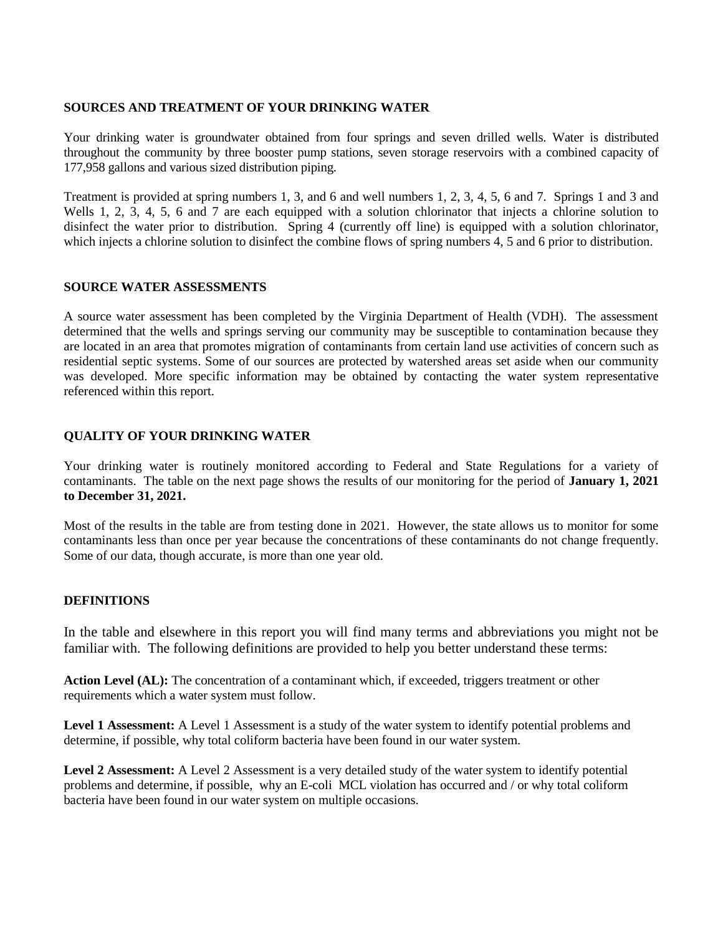#### **SOURCES AND TREATMENT OF YOUR DRINKING WATER**

Your drinking water is groundwater obtained from four springs and seven drilled wells. Water is distributed throughout the community by three booster pump stations, seven storage reservoirs with a combined capacity of 177,958 gallons and various sized distribution piping.

Treatment is provided at spring numbers 1, 3, and 6 and well numbers 1, 2, 3, 4, 5, 6 and 7. Springs 1 and 3 and Wells 1, 2, 3, 4, 5, 6 and 7 are each equipped with a solution chlorinator that injects a chlorine solution to disinfect the water prior to distribution. Spring 4 (currently off line) is equipped with a solution chlorinator, which injects a chlorine solution to disinfect the combine flows of spring numbers 4, 5 and 6 prior to distribution.

#### **SOURCE WATER ASSESSMENTS**

A source water assessment has been completed by the Virginia Department of Health (VDH). The assessment determined that the wells and springs serving our community may be susceptible to contamination because they are located in an area that promotes migration of contaminants from certain land use activities of concern such as residential septic systems. Some of our sources are protected by watershed areas set aside when our community was developed. More specific information may be obtained by contacting the water system representative referenced within this report.

#### **QUALITY OF YOUR DRINKING WATER**

Your drinking water is routinely monitored according to Federal and State Regulations for a variety of contaminants. The table on the next page shows the results of our monitoring for the period of **January 1, 2021 to December 31, 2021.**

Most of the results in the table are from testing done in 2021. However, the state allows us to monitor for some contaminants less than once per year because the concentrations of these contaminants do not change frequently. Some of our data, though accurate, is more than one year old.

# **DEFINITIONS**

In the table and elsewhere in this report you will find many terms and abbreviations you might not be familiar with. The following definitions are provided to help you better understand these terms:

**Action Level (AL):** The concentration of a contaminant which, if exceeded, triggers treatment or other requirements which a water system must follow.

**Level 1 Assessment:** A Level 1 Assessment is a study of the water system to identify potential problems and determine, if possible, why total coliform bacteria have been found in our water system.

**Level 2 Assessment:** A Level 2 Assessment is a very detailed study of the water system to identify potential problems and determine, if possible, why an E-coli MCL violation has occurred and / or why total coliform bacteria have been found in our water system on multiple occasions.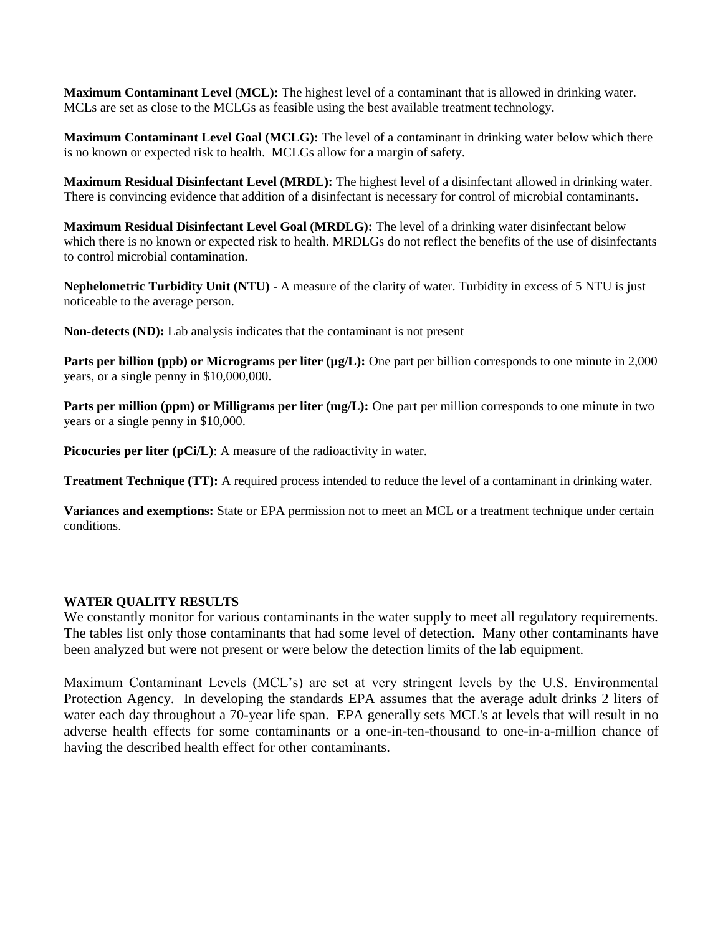**Maximum Contaminant Level (MCL):** The highest level of a contaminant that is allowed in drinking water. MCLs are set as close to the MCLGs as feasible using the best available treatment technology.

**Maximum Contaminant Level Goal (MCLG):** The level of a contaminant in drinking water below which there is no known or expected risk to health. MCLGs allow for a margin of safety.

**Maximum Residual Disinfectant Level (MRDL):** The highest level of a disinfectant allowed in drinking water. There is convincing evidence that addition of a disinfectant is necessary for control of microbial contaminants.

**Maximum Residual Disinfectant Level Goal (MRDLG):** The level of a drinking water disinfectant below which there is no known or expected risk to health. MRDLGs do not reflect the benefits of the use of disinfectants to control microbial contamination.

**Nephelometric Turbidity Unit (NTU)** - A measure of the clarity of water. Turbidity in excess of 5 NTU is just noticeable to the average person.

**Non-detects (ND):** Lab analysis indicates that the contaminant is not present

**Parts per billion (ppb) or Micrograms per liter (** $\mu$ **g/L):** One part per billion corresponds to one minute in 2,000 years, or a single penny in \$10,000,000.

**Parts per million (ppm) or Milligrams per liter (mg/L):** One part per million corresponds to one minute in two years or a single penny in \$10,000.

**Picocuries per liter (pCi/L):** A measure of the radioactivity in water.

**Treatment Technique (TT):** A required process intended to reduce the level of a contaminant in drinking water.

**Variances and exemptions:** State or EPA permission not to meet an MCL or a treatment technique under certain conditions.

# **WATER QUALITY RESULTS**

We constantly monitor for various contaminants in the water supply to meet all regulatory requirements. The tables list only those contaminants that had some level of detection. Many other contaminants have been analyzed but were not present or were below the detection limits of the lab equipment.

Maximum Contaminant Levels (MCL's) are set at very stringent levels by the U.S. Environmental Protection Agency. In developing the standards EPA assumes that the average adult drinks 2 liters of water each day throughout a 70-year life span. EPA generally sets MCL's at levels that will result in no adverse health effects for some contaminants or a one-in-ten-thousand to one-in-a-million chance of having the described health effect for other contaminants.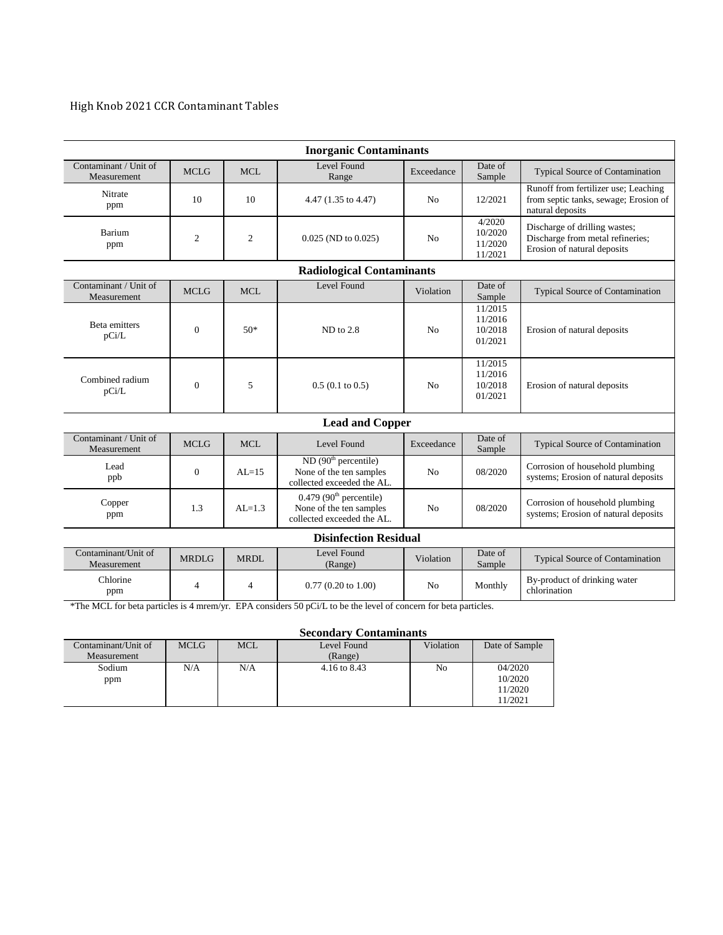# High Knob 2021 CCR Contaminant Tables

| <b>Inorganic Contaminants</b>        |                |                |                                                                                                |                |                                          |                                                                                                   |  |  |  |  |  |
|--------------------------------------|----------------|----------------|------------------------------------------------------------------------------------------------|----------------|------------------------------------------|---------------------------------------------------------------------------------------------------|--|--|--|--|--|
| Contaminant / Unit of<br>Measurement | <b>MCLG</b>    | <b>MCL</b>     | Level Found<br>Exceedance<br>Range                                                             |                | Date of<br>Sample                        | <b>Typical Source of Contamination</b>                                                            |  |  |  |  |  |
| Nitrate<br>ppm                       | 10             | 10             | 4.47 (1.35 to 4.47)                                                                            | No             | 12/2021                                  | Runoff from fertilizer use; Leaching<br>from septic tanks, sewage; Erosion of<br>natural deposits |  |  |  |  |  |
| Barium<br>ppm                        | $\mathfrak{2}$ | $\overline{2}$ | $0.025$ (ND to $0.025$ )                                                                       | N <sub>0</sub> | 4/2020<br>10/2020<br>11/2020<br>11/2021  | Discharge of drilling wastes;<br>Discharge from metal refineries;<br>Erosion of natural deposits  |  |  |  |  |  |
| <b>Radiological Contaminants</b>     |                |                |                                                                                                |                |                                          |                                                                                                   |  |  |  |  |  |
| Contaminant / Unit of<br>Measurement | <b>MCLG</b>    | <b>MCL</b>     | Level Found                                                                                    | Violation      | Date of<br>Sample                        | <b>Typical Source of Contamination</b>                                                            |  |  |  |  |  |
| Beta emitters<br>pCi/L               | $\mathbf{0}$   | $50*$          | ND to 2.8                                                                                      | N <sub>0</sub> | 11/2015<br>11/2016<br>10/2018<br>01/2021 | Erosion of natural deposits                                                                       |  |  |  |  |  |
| Combined radium<br>pCi/L             | $\overline{0}$ | 5              | $0.5(0.1 \text{ to } 0.5)$                                                                     | N <sub>0</sub> | 11/2015<br>11/2016<br>10/2018<br>01/2021 | Erosion of natural deposits                                                                       |  |  |  |  |  |
| <b>Lead and Copper</b>               |                |                |                                                                                                |                |                                          |                                                                                                   |  |  |  |  |  |
| Contaminant / Unit of<br>Measurement | MCLG           | MCL            | Level Found                                                                                    | Exceedance     | Date of<br>Sample                        | Typical Source of Contamination                                                                   |  |  |  |  |  |
| Lead<br>ppb                          | $\mathbf{0}$   | $AI = 15$      | ND (90 <sup>th</sup> percentile)<br>None of the ten samples<br>collected exceeded the AL.      | N <sub>0</sub> | 08/2020                                  | Corrosion of household plumbing<br>systems; Erosion of natural deposits                           |  |  |  |  |  |
| Copper<br>ppm                        | 1.3            | $AL=1.3$       | $0.479$ (90 <sup>th</sup> percentile)<br>None of the ten samples<br>collected exceeded the AL. | N <sub>o</sub> | 08/2020                                  | Corrosion of household plumbing<br>systems; Erosion of natural deposits                           |  |  |  |  |  |
| <b>Disinfection Residual</b>         |                |                |                                                                                                |                |                                          |                                                                                                   |  |  |  |  |  |
| Contaminant/Unit of<br>Measurement   | <b>MRDLG</b>   | MRDL           | Level Found<br>(Range)                                                                         | Violation      | Date of<br>Sample                        | <b>Typical Source of Contamination</b>                                                            |  |  |  |  |  |
| Chlorine<br>ppm                      | 4              | $\overline{4}$ | $0.77(0.20 \text{ to } 1.00)$                                                                  | N <sub>0</sub> | Monthly                                  | By-product of drinking water<br>chlorination                                                      |  |  |  |  |  |

\*The MCL for beta particles is 4 mrem/yr. EPA considers 50 pCi/L to be the level of concern for beta particles.

#### **Secondary Contaminants**

| Contaminant/Unit of | <b>MCLG</b> | <b>MCL</b> | Level Found  | Violation | Date of Sample |  |  |  |  |
|---------------------|-------------|------------|--------------|-----------|----------------|--|--|--|--|
| Measurement         |             |            | (Range)      |           |                |  |  |  |  |
| Sodium              | N/A         | N/A        | 4.16 to 8.43 | No        | 04/2020        |  |  |  |  |
| ppm                 |             |            |              |           | 10/2020        |  |  |  |  |
|                     |             |            |              |           | 11/2020        |  |  |  |  |
|                     |             |            |              |           | 11/2021        |  |  |  |  |
|                     |             |            |              |           |                |  |  |  |  |